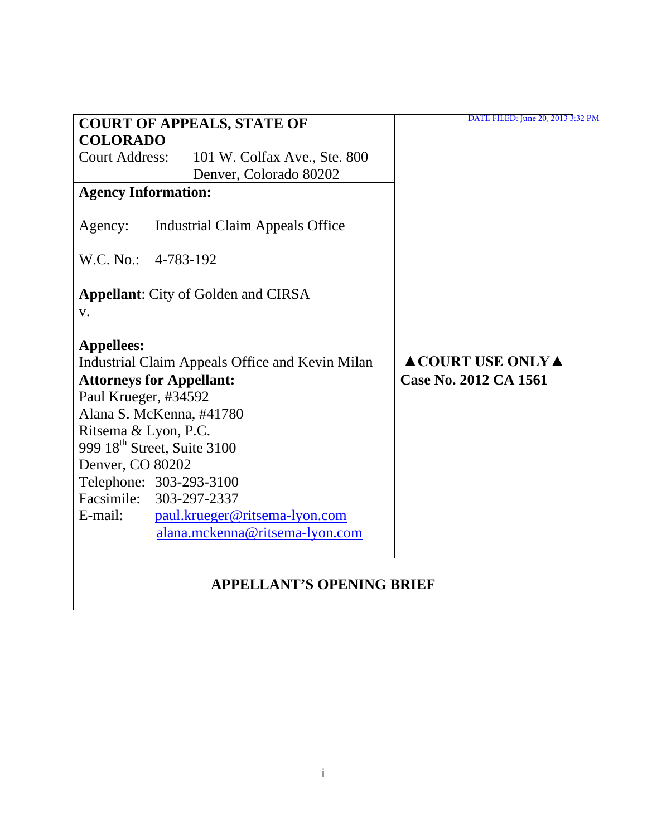| <b>COURT OF APPEALS, STATE OF</b>                                    | DATE FILED: June 20, 2013 3:32 PM |
|----------------------------------------------------------------------|-----------------------------------|
| <b>COLORADO</b>                                                      |                                   |
| <b>Court Address:</b><br>101 W. Colfax Ave., Ste. 800                |                                   |
| Denver, Colorado 80202                                               |                                   |
| <b>Agency Information:</b>                                           |                                   |
| Agency:<br>Industrial Claim Appeals Office                           |                                   |
| W.C. No.: 4-783-192                                                  |                                   |
| <b>Appellant:</b> City of Golden and CIRSA<br>V.                     |                                   |
| <b>Appellees:</b><br>Industrial Claim Appeals Office and Kevin Milan | <b>ACOURT USE ONLYA</b>           |
| <b>Attorneys for Appellant:</b>                                      | Case No. 2012 CA 1561             |
| Paul Krueger, #34592                                                 |                                   |
| Alana S. McKenna, #41780                                             |                                   |
| Ritsema & Lyon, P.C.                                                 |                                   |
| 999 18 <sup>th</sup> Street, Suite 3100                              |                                   |
| Denver, CO 80202                                                     |                                   |
| Telephone: 303-293-3100                                              |                                   |
| Facsimile: 303-297-2337                                              |                                   |
| paul.krueger@ritsema-lyon.com<br>E-mail:                             |                                   |
| alana.mckenna@ritsema-lyon.com                                       |                                   |
| <b>APPELLANT'S OPENING BRIEF</b>                                     |                                   |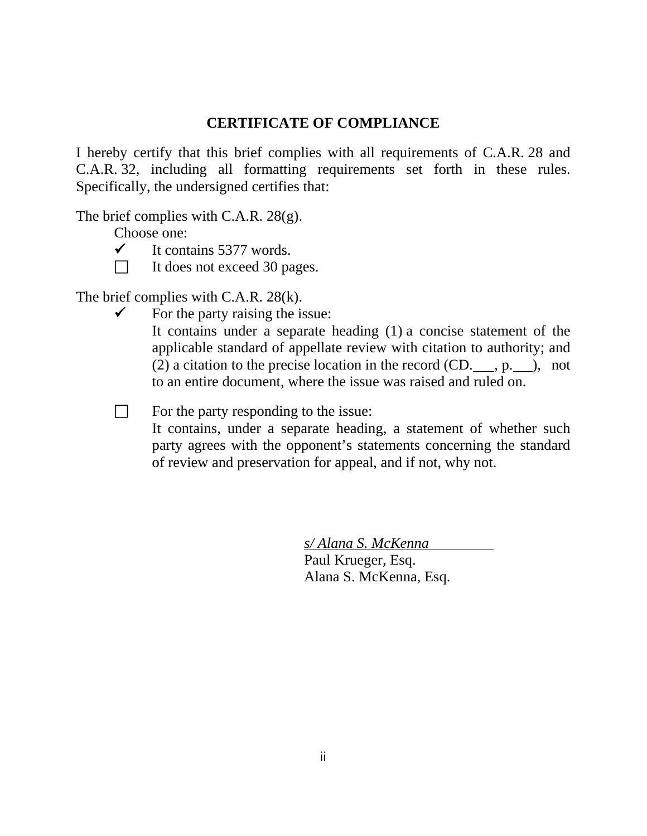# **CERTIFICATE OF COMPLIANCE**

I hereby certify that this brief complies with all requirements of C.A.R. 28 and C.A.R. 32, including all formatting requirements set forth in these rules. Specifically, the undersigned certifies that:

The brief complies with C.A.R. 28(g).

Choose one:

- $\checkmark$  It contains 5377 words.
- $\Box$  It does not exceed 30 pages.

The brief complies with C.A.R. 28(k).

 $\checkmark$  For the party raising the issue:

It contains under a separate heading (1) a concise statement of the applicable standard of appellate review with citation to authority; and (2) a citation to the precise location in the record  $(CD, \_\_\_p, p, \_\_\)$ , not to an entire document, where the issue was raised and ruled on.

 $\Box$  For the party responding to the issue:

It contains, under a separate heading, a statement of whether such party agrees with the opponent's statements concerning the standard of review and preservation for appeal, and if not, why not.

> *s/ Alana S. McKenna* Paul Krueger, Esq. Alana S. McKenna, Esq.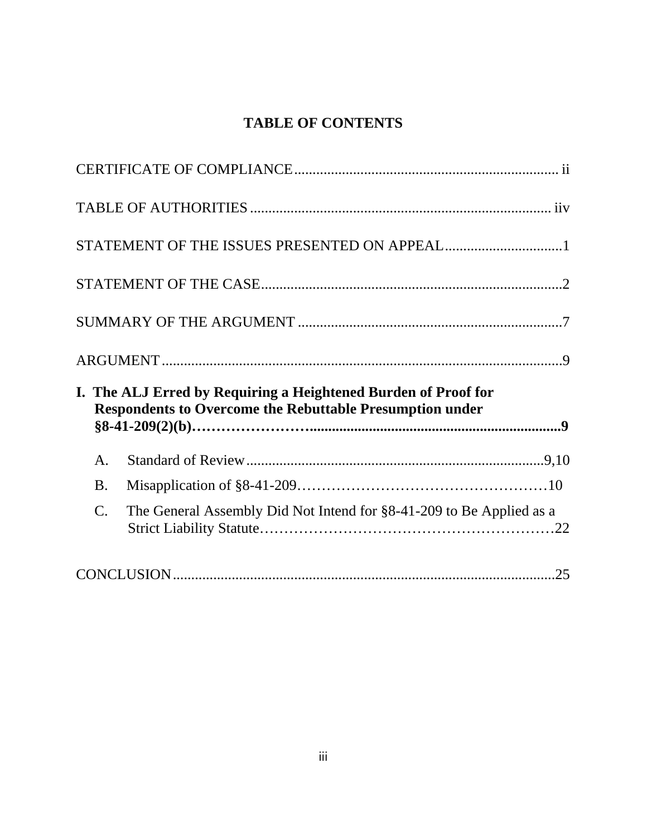# **TABLE OF CONTENTS**

|                 | I. The ALJ Erred by Requiring a Heightened Burden of Proof for<br><b>Respondents to Overcome the Rebuttable Presumption under</b> |  |
|-----------------|-----------------------------------------------------------------------------------------------------------------------------------|--|
| A.              |                                                                                                                                   |  |
| <b>B.</b>       |                                                                                                                                   |  |
| $\mathcal{C}$ . | The General Assembly Did Not Intend for §8-41-209 to Be Applied as a                                                              |  |
|                 |                                                                                                                                   |  |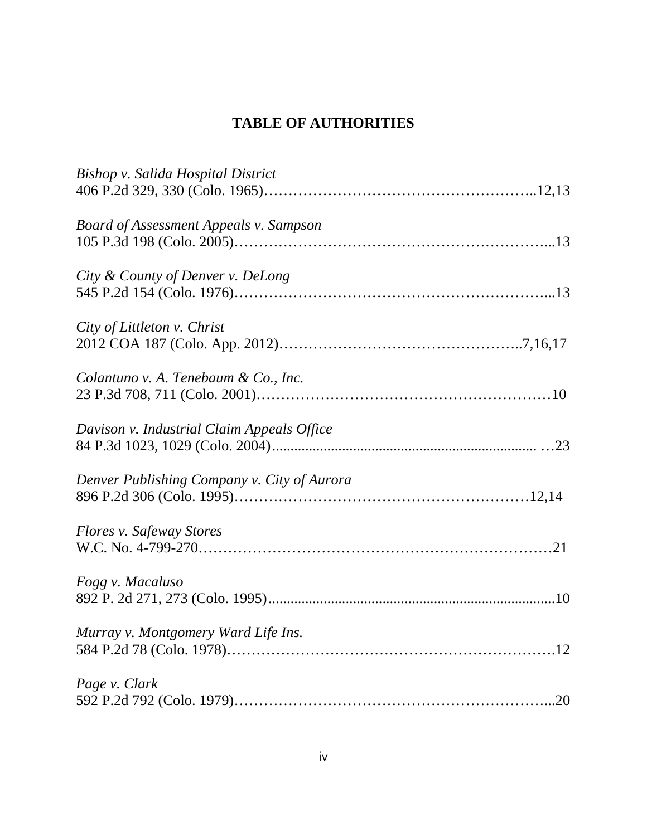# **TABLE OF AUTHORITIES**

| Bishop v. Salida Hospital District            |
|-----------------------------------------------|
| <b>Board of Assessment Appeals v. Sampson</b> |
| City & County of Denver v. DeLong             |
| City of Littleton v. Christ                   |
| Colantuno v. A. Tenebaum & Co., Inc.          |
| Davison v. Industrial Claim Appeals Office    |
| Denver Publishing Company v. City of Aurora   |
| Flores v. Safeway Stores                      |
| Fogg v. Macaluso                              |
| Murray v. Montgomery Ward Life Ins.           |
| Page v. Clark                                 |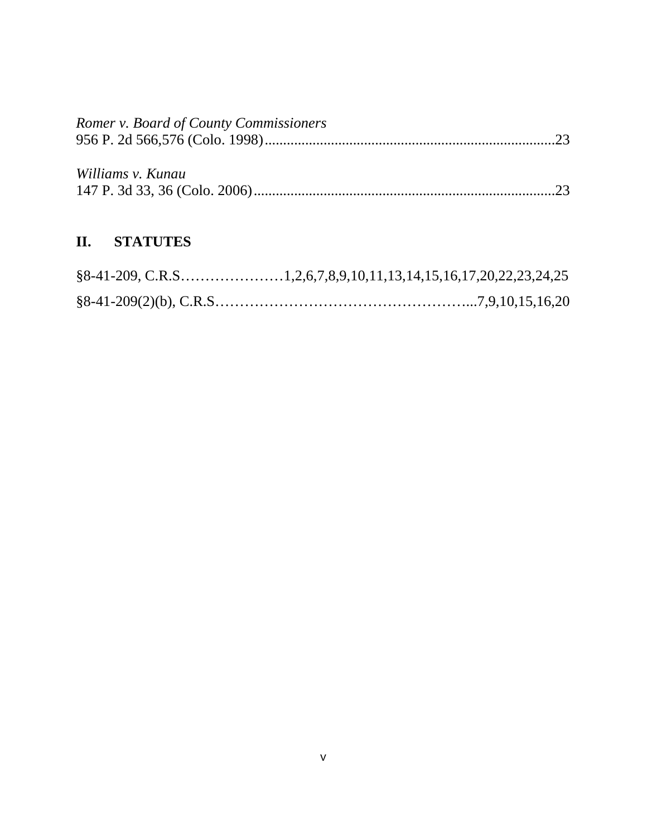| Romer v. Board of County Commissioners |  |
|----------------------------------------|--|
|                                        |  |
|                                        |  |
| Williams v. Kunau                      |  |
|                                        |  |
|                                        |  |

# **II. STATUTES**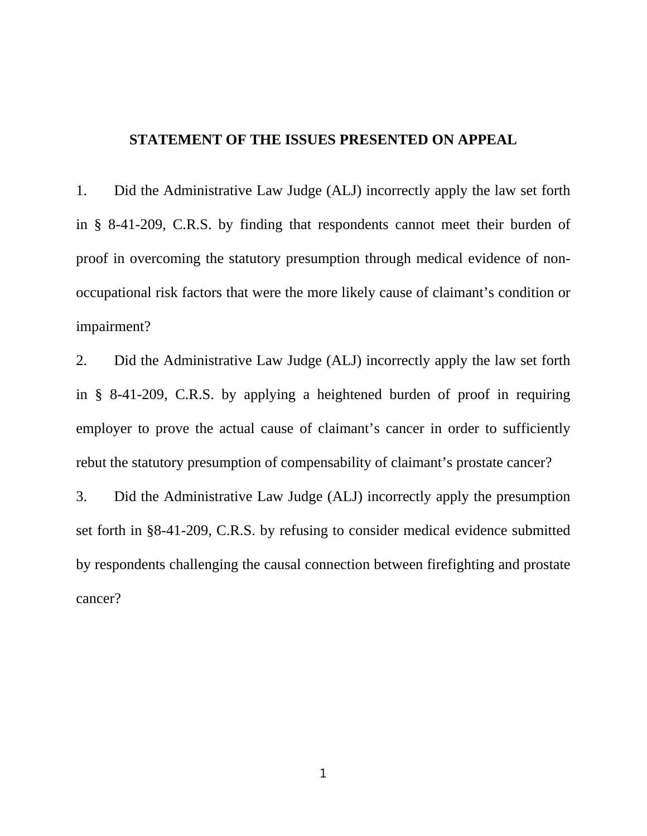## **STATEMENT OF THE ISSUES PRESENTED ON APPEAL**

1. Did the Administrative Law Judge (ALJ) incorrectly apply the law set forth in § 8-41-209, C.R.S. by finding that respondents cannot meet their burden of proof in overcoming the statutory presumption through medical evidence of nonoccupational risk factors that were the more likely cause of claimant's condition or impairment?

2. Did the Administrative Law Judge (ALJ) incorrectly apply the law set forth in § 8-41-209, C.R.S. by applying a heightened burden of proof in requiring employer to prove the actual cause of claimant's cancer in order to sufficiently rebut the statutory presumption of compensability of claimant's prostate cancer?

3. Did the Administrative Law Judge (ALJ) incorrectly apply the presumption set forth in §8-41-209, C.R.S. by refusing to consider medical evidence submitted by respondents challenging the causal connection between firefighting and prostate cancer?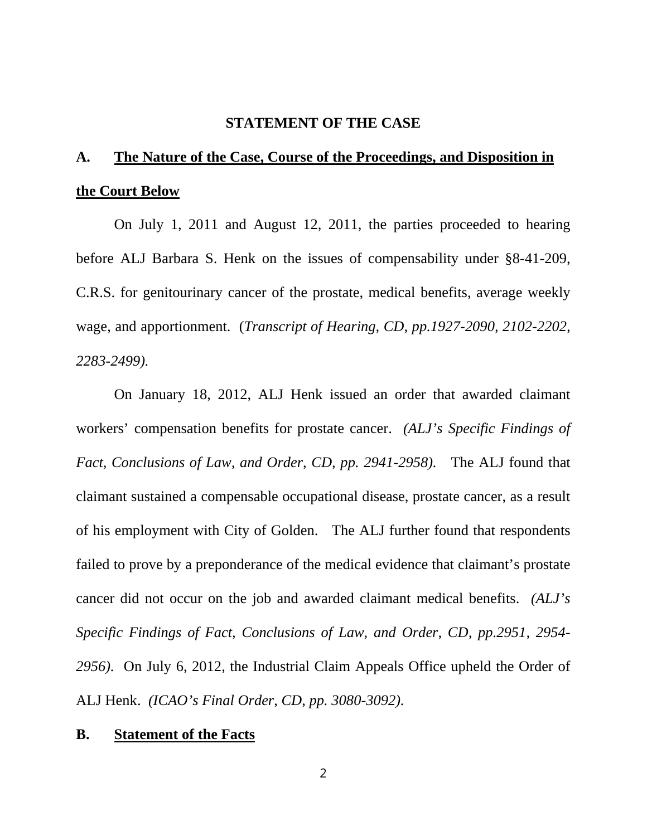### **STATEMENT OF THE CASE**

# **A. The Nature of the Case, Course of the Proceedings, and Disposition in the Court Below**

On July 1, 2011 and August 12, 2011, the parties proceeded to hearing before ALJ Barbara S. Henk on the issues of compensability under §8-41-209, C.R.S. for genitourinary cancer of the prostate, medical benefits, average weekly wage, and apportionment. (*Transcript of Hearing, CD, pp.1927-2090, 2102-2202, 2283-2499).*

On January 18, 2012, ALJ Henk issued an order that awarded claimant workers' compensation benefits for prostate cancer. *(ALJ's Specific Findings of Fact, Conclusions of Law, and Order, CD, pp. 2941-2958).* The ALJ found that claimant sustained a compensable occupational disease, prostate cancer, as a result of his employment with City of Golden. The ALJ further found that respondents failed to prove by a preponderance of the medical evidence that claimant's prostate cancer did not occur on the job and awarded claimant medical benefits. *(ALJ's Specific Findings of Fact, Conclusions of Law, and Order, CD, pp.2951, 2954- 2956).* On July 6, 2012, the Industrial Claim Appeals Office upheld the Order of ALJ Henk. *(ICAO's Final Order, CD, pp. 3080-3092).*

#### **B. Statement of the Facts**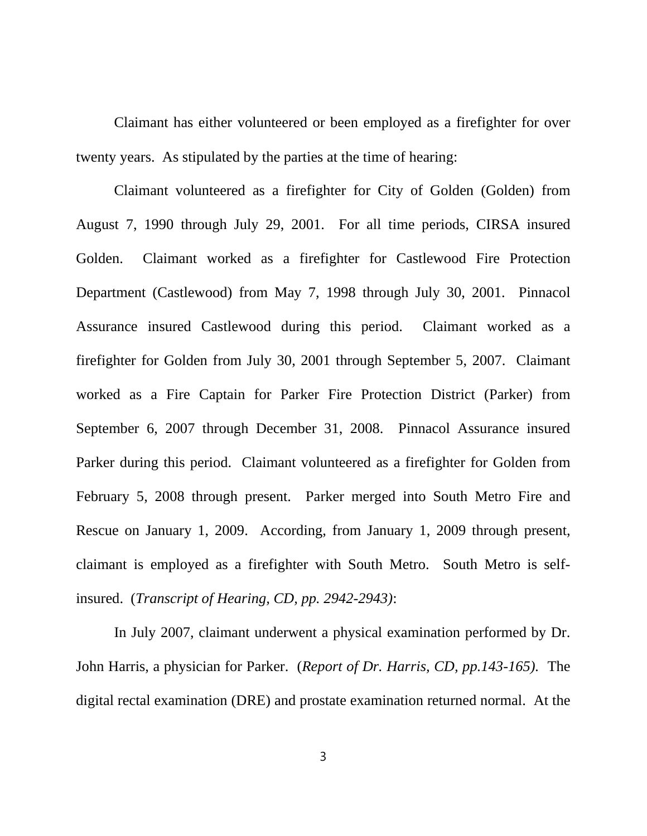Claimant has either volunteered or been employed as a firefighter for over twenty years. As stipulated by the parties at the time of hearing:

Claimant volunteered as a firefighter for City of Golden (Golden) from August 7, 1990 through July 29, 2001. For all time periods, CIRSA insured Golden. Claimant worked as a firefighter for Castlewood Fire Protection Department (Castlewood) from May 7, 1998 through July 30, 2001. Pinnacol Assurance insured Castlewood during this period. Claimant worked as a firefighter for Golden from July 30, 2001 through September 5, 2007. Claimant worked as a Fire Captain for Parker Fire Protection District (Parker) from September 6, 2007 through December 31, 2008. Pinnacol Assurance insured Parker during this period. Claimant volunteered as a firefighter for Golden from February 5, 2008 through present. Parker merged into South Metro Fire and Rescue on January 1, 2009. According, from January 1, 2009 through present, claimant is employed as a firefighter with South Metro. South Metro is selfinsured. (*Transcript of Hearing, CD, pp. 2942-2943)*:

In July 2007, claimant underwent a physical examination performed by Dr. John Harris, a physician for Parker. (*Report of Dr. Harris, CD, pp.143-165).* The digital rectal examination (DRE) and prostate examination returned normal. At the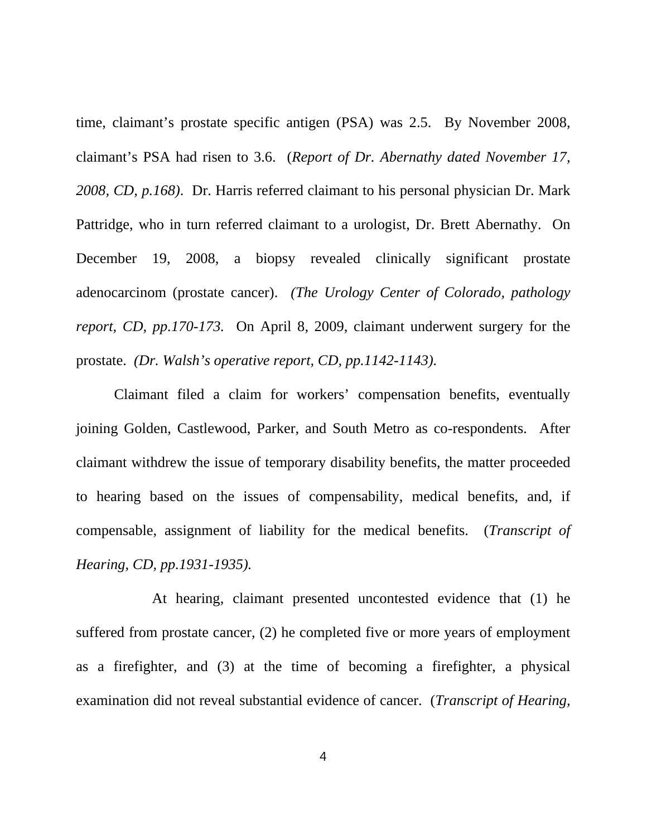time, claimant's prostate specific antigen (PSA) was 2.5. By November 2008, claimant's PSA had risen to 3.6. (*Report of Dr. Abernathy dated November 17, 2008, CD, p.168)*. Dr. Harris referred claimant to his personal physician Dr. Mark Pattridge, who in turn referred claimant to a urologist, Dr. Brett Abernathy. On December 19, 2008, a biopsy revealed clinically significant prostate adenocarcinom (prostate cancer). *(The Urology Center of Colorado, pathology report, CD, pp.170-173.* On April 8, 2009, claimant underwent surgery for the prostate. *(Dr. Walsh's operative report, CD, pp.1142-1143).* 

Claimant filed a claim for workers' compensation benefits, eventually joining Golden, Castlewood, Parker, and South Metro as co-respondents. After claimant withdrew the issue of temporary disability benefits, the matter proceeded to hearing based on the issues of compensability, medical benefits, and, if compensable, assignment of liability for the medical benefits. (*Transcript of Hearing, CD, pp.1931-1935).*

At hearing, claimant presented uncontested evidence that (1) he suffered from prostate cancer, (2) he completed five or more years of employment as a firefighter, and (3) at the time of becoming a firefighter, a physical examination did not reveal substantial evidence of cancer. (*Transcript of Hearing,*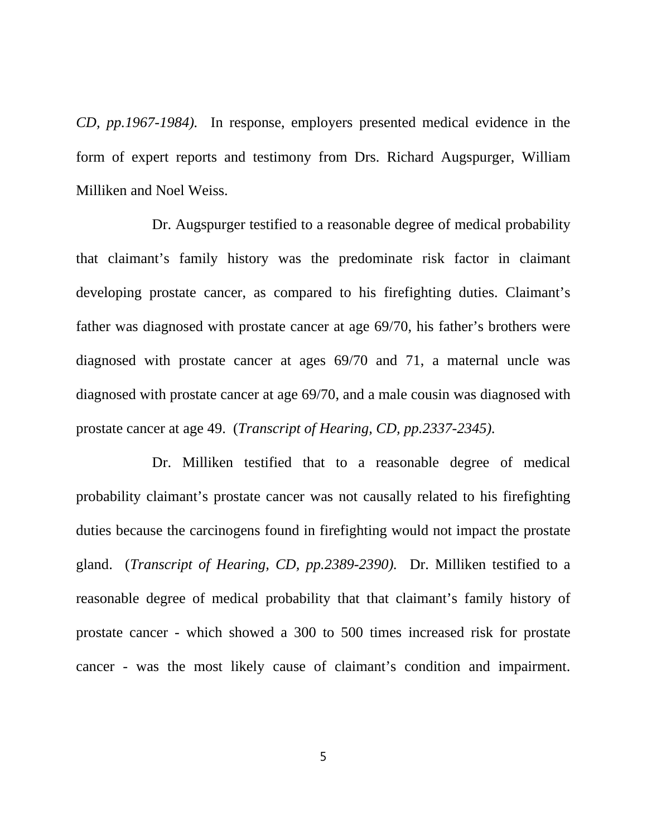*CD, pp.1967-1984).* In response, employers presented medical evidence in the form of expert reports and testimony from Drs. Richard Augspurger, William Milliken and Noel Weiss.

Dr. Augspurger testified to a reasonable degree of medical probability that claimant's family history was the predominate risk factor in claimant developing prostate cancer, as compared to his firefighting duties. Claimant's father was diagnosed with prostate cancer at age 69/70, his father's brothers were diagnosed with prostate cancer at ages 69/70 and 71, a maternal uncle was diagnosed with prostate cancer at age 69/70, and a male cousin was diagnosed with prostate cancer at age 49. (*Transcript of Hearing, CD, pp.2337-2345).*

Dr. Milliken testified that to a reasonable degree of medical probability claimant's prostate cancer was not causally related to his firefighting duties because the carcinogens found in firefighting would not impact the prostate gland. (*Transcript of Hearing, CD, pp.2389-2390).* Dr. Milliken testified to a reasonable degree of medical probability that that claimant's family history of prostate cancer - which showed a 300 to 500 times increased risk for prostate cancer - was the most likely cause of claimant's condition and impairment.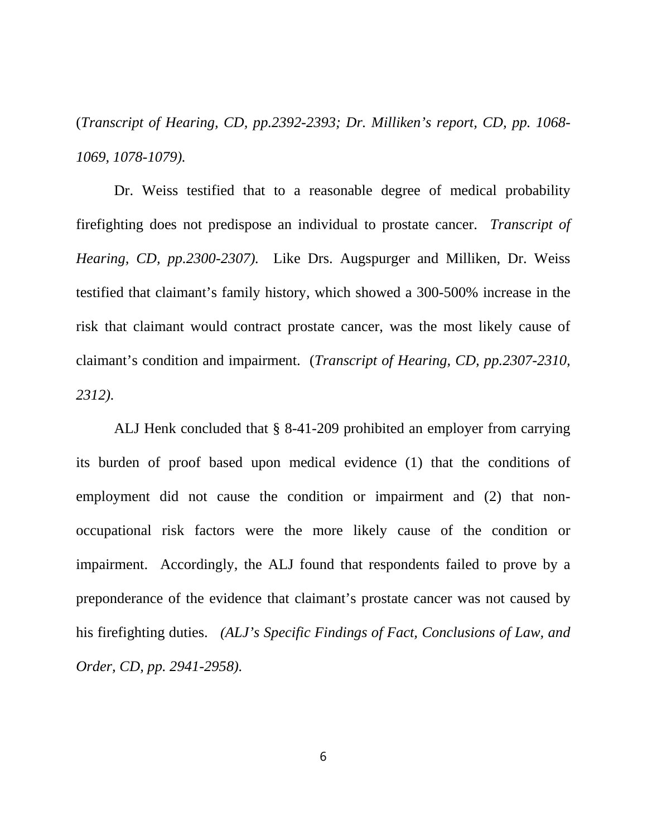(*Transcript of Hearing, CD, pp.2392-2393; Dr. Milliken's report, CD, pp. 1068- 1069, 1078-1079).*

Dr. Weiss testified that to a reasonable degree of medical probability firefighting does not predispose an individual to prostate cancer. *Transcript of Hearing, CD, pp.2300-2307).* Like Drs. Augspurger and Milliken, Dr. Weiss testified that claimant's family history, which showed a 300-500% increase in the risk that claimant would contract prostate cancer, was the most likely cause of claimant's condition and impairment. (*Transcript of Hearing, CD, pp.2307-2310, 2312).*

ALJ Henk concluded that § 8-41-209 prohibited an employer from carrying its burden of proof based upon medical evidence (1) that the conditions of employment did not cause the condition or impairment and (2) that nonoccupational risk factors were the more likely cause of the condition or impairment. Accordingly, the ALJ found that respondents failed to prove by a preponderance of the evidence that claimant's prostate cancer was not caused by his firefighting duties. *(ALJ's Specific Findings of Fact, Conclusions of Law, and Order, CD, pp. 2941-2958).*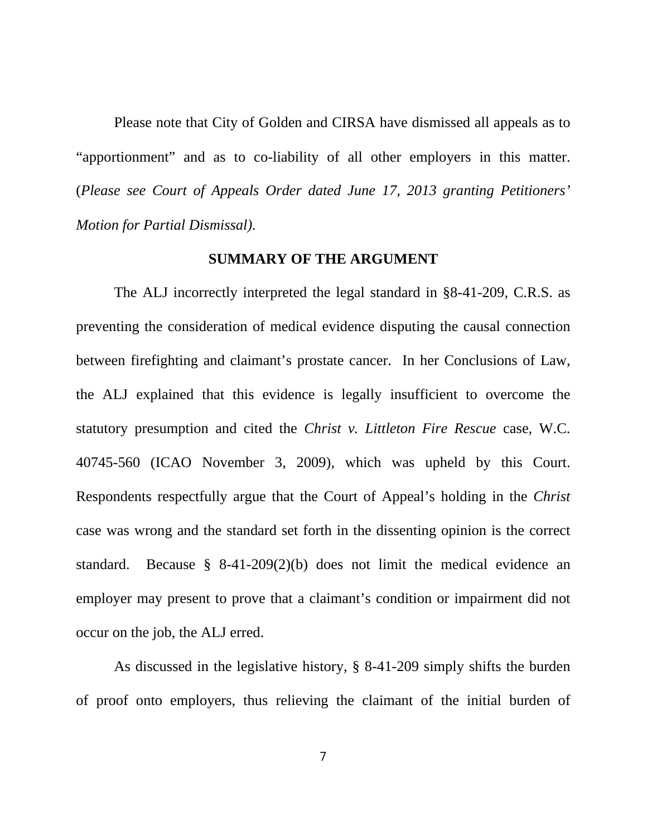Please note that City of Golden and CIRSA have dismissed all appeals as to "apportionment" and as to co-liability of all other employers in this matter. (*Please see Court of Appeals Order dated June 17, 2013 granting Petitioners' Motion for Partial Dismissal).*

#### **SUMMARY OF THE ARGUMENT**

The ALJ incorrectly interpreted the legal standard in §8-41-209, C.R.S. as preventing the consideration of medical evidence disputing the causal connection between firefighting and claimant's prostate cancer. In her Conclusions of Law, the ALJ explained that this evidence is legally insufficient to overcome the statutory presumption and cited the *Christ v. Littleton Fire Rescue* case, W.C. 40745-560 (ICAO November 3, 2009)*,* which was upheld by this Court. Respondents respectfully argue that the Court of Appeal's holding in the *Christ*  case was wrong and the standard set forth in the dissenting opinion is the correct standard. Because § 8-41-209(2)(b) does not limit the medical evidence an employer may present to prove that a claimant's condition or impairment did not occur on the job, the ALJ erred.

As discussed in the legislative history, § 8-41-209 simply shifts the burden of proof onto employers, thus relieving the claimant of the initial burden of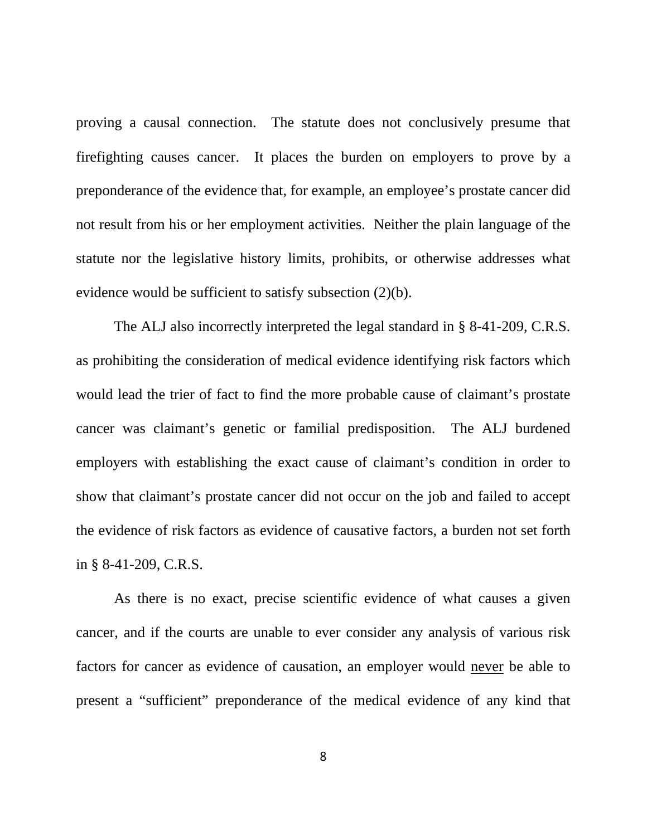proving a causal connection. The statute does not conclusively presume that firefighting causes cancer. It places the burden on employers to prove by a preponderance of the evidence that, for example, an employee's prostate cancer did not result from his or her employment activities. Neither the plain language of the statute nor the legislative history limits, prohibits, or otherwise addresses what evidence would be sufficient to satisfy subsection (2)(b).

The ALJ also incorrectly interpreted the legal standard in § 8-41-209, C.R.S. as prohibiting the consideration of medical evidence identifying risk factors which would lead the trier of fact to find the more probable cause of claimant's prostate cancer was claimant's genetic or familial predisposition. The ALJ burdened employers with establishing the exact cause of claimant's condition in order to show that claimant's prostate cancer did not occur on the job and failed to accept the evidence of risk factors as evidence of causative factors, a burden not set forth in § 8-41-209, C.R.S.

As there is no exact, precise scientific evidence of what causes a given cancer, and if the courts are unable to ever consider any analysis of various risk factors for cancer as evidence of causation, an employer would never be able to present a "sufficient" preponderance of the medical evidence of any kind that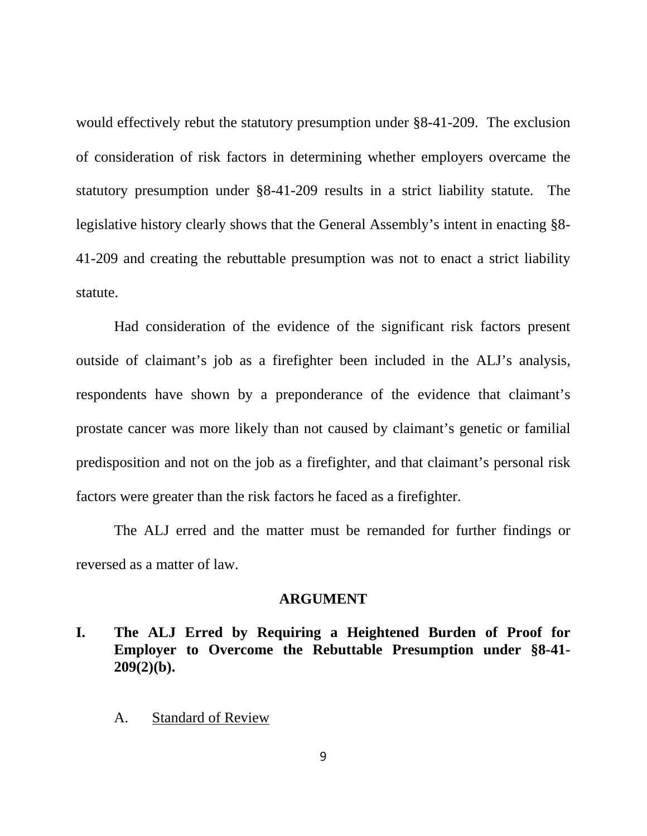would effectively rebut the statutory presumption under §8-41-209. The exclusion of consideration of risk factors in determining whether employers overcame the statutory presumption under §8-41-209 results in a strict liability statute. The legislative history clearly shows that the General Assembly's intent in enacting §8- 41-209 and creating the rebuttable presumption was not to enact a strict liability statute.

Had consideration of the evidence of the significant risk factors present outside of claimant's job as a firefighter been included in the ALJ's analysis, respondents have shown by a preponderance of the evidence that claimant's prostate cancer was more likely than not caused by claimant's genetic or familial predisposition and not on the job as a firefighter, and that claimant's personal risk factors were greater than the risk factors he faced as a firefighter.

The ALJ erred and the matter must be remanded for further findings or reversed as a matter of law.

#### **ARGUMENT**

- **I. The ALJ Erred by Requiring a Heightened Burden of Proof for Employer to Overcome the Rebuttable Presumption under §8-41- 209(2)(b).**
	- A. Standard of Review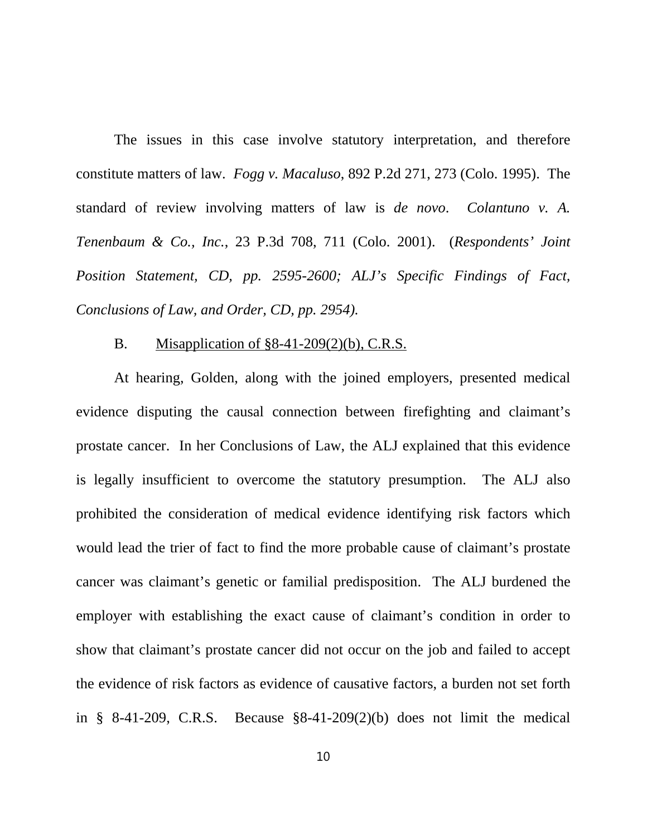The issues in this case involve statutory interpretation, and therefore constitute matters of law. *Fogg v. Macaluso*, 892 P.2d 271, 273 (Colo. 1995). The standard of review involving matters of law is *de novo*. *Colantuno v. A. Tenenbaum & Co., Inc.*, 23 P.3d 708, 711 (Colo. 2001). (*Respondents' Joint Position Statement, CD, pp. 2595-2600; ALJ's Specific Findings of Fact, Conclusions of Law, and Order, CD, pp. 2954).*

#### B. Misapplication of §8-41-209(2)(b), C.R.S.

At hearing, Golden, along with the joined employers, presented medical evidence disputing the causal connection between firefighting and claimant's prostate cancer. In her Conclusions of Law, the ALJ explained that this evidence is legally insufficient to overcome the statutory presumption. The ALJ also prohibited the consideration of medical evidence identifying risk factors which would lead the trier of fact to find the more probable cause of claimant's prostate cancer was claimant's genetic or familial predisposition. The ALJ burdened the employer with establishing the exact cause of claimant's condition in order to show that claimant's prostate cancer did not occur on the job and failed to accept the evidence of risk factors as evidence of causative factors, a burden not set forth in  $\S$  8-41-209, C.R.S. Because  $\S$ 8-41-209(2)(b) does not limit the medical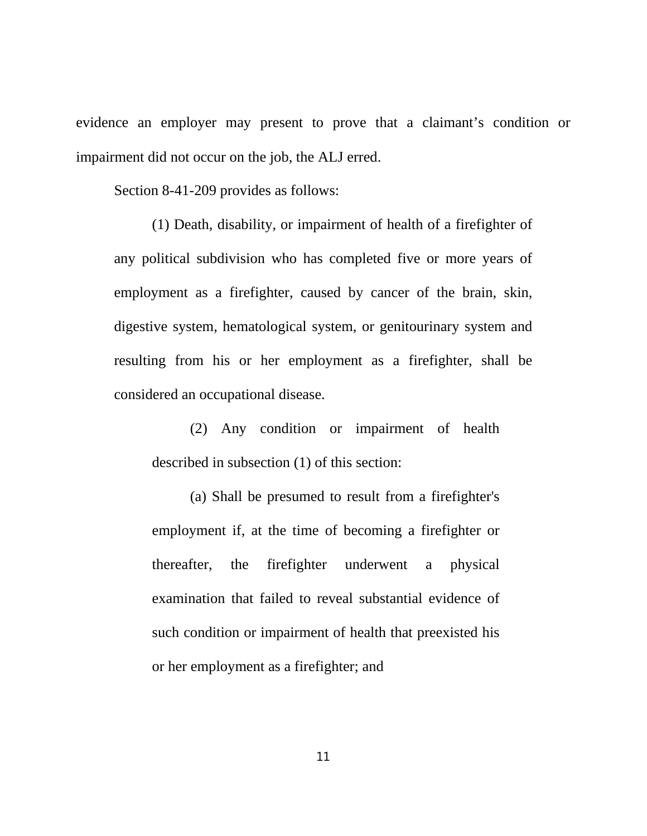evidence an employer may present to prove that a claimant's condition or impairment did not occur on the job, the ALJ erred.

Section 8-41-209 provides as follows:

(1) Death, disability, or impairment of health of a firefighter of any political subdivision who has completed five or more years of employment as a firefighter, caused by cancer of the brain, skin, digestive system, hematological system, or genitourinary system and resulting from his or her employment as a firefighter, shall be considered an occupational disease.

(2) Any condition or impairment of health described in subsection (1) of this section:

(a) Shall be presumed to result from a firefighter's employment if, at the time of becoming a firefighter or thereafter, the firefighter underwent a physical examination that failed to reveal substantial evidence of such condition or impairment of health that preexisted his or her employment as a firefighter; and

11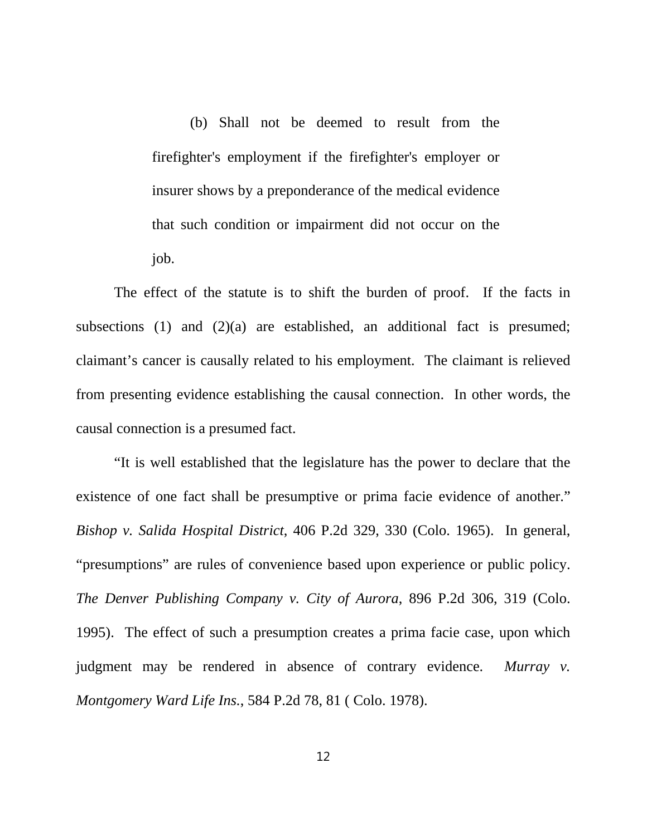(b) Shall not be deemed to result from the firefighter's employment if the firefighter's employer or insurer shows by a preponderance of the medical evidence that such condition or impairment did not occur on the job.

The effect of the statute is to shift the burden of proof. If the facts in subsections (1) and  $(2)(a)$  are established, an additional fact is presumed; claimant's cancer is causally related to his employment. The claimant is relieved from presenting evidence establishing the causal connection. In other words, the causal connection is a presumed fact.

"It is well established that the legislature has the power to declare that the existence of one fact shall be presumptive or prima facie evidence of another." *Bishop v. Salida Hospital District*, 406 P.2d 329, 330 (Colo. 1965). In general, "presumptions" are rules of convenience based upon experience or public policy. *The Denver Publishing Company v. City of Aurora*, 896 P.2d 306, 319 (Colo. 1995). The effect of such a presumption creates a prima facie case, upon which judgment may be rendered in absence of contrary evidence. *Murray v. Montgomery Ward Life Ins.*, 584 P.2d 78, 81 ( Colo. 1978).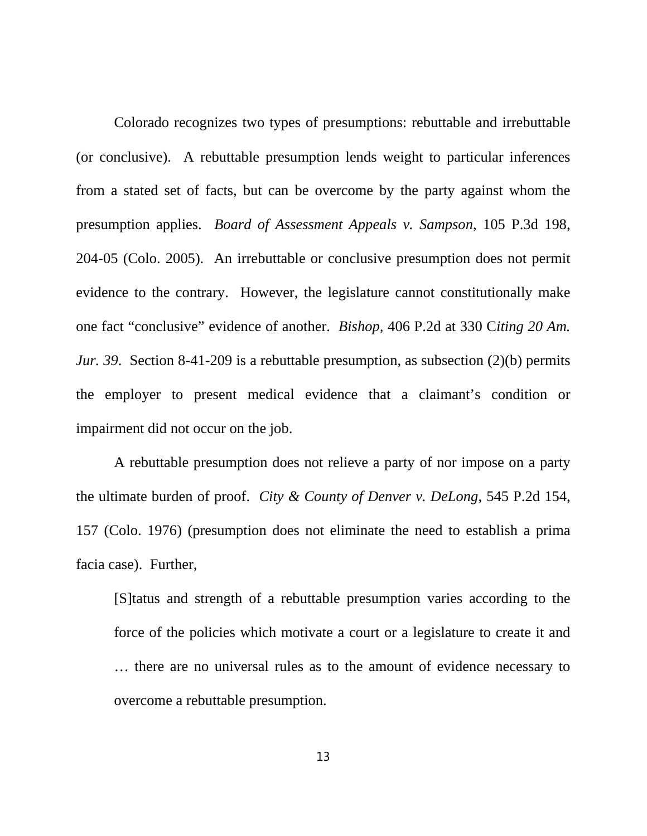Colorado recognizes two types of presumptions: rebuttable and irrebuttable (or conclusive). A rebuttable presumption lends weight to particular inferences from a stated set of facts, but can be overcome by the party against whom the presumption applies. *Board of Assessment Appeals v. Sampson*, 105 P.3d 198, 204-05 (Colo. 2005). An irrebuttable or conclusive presumption does not permit evidence to the contrary. However, the legislature cannot constitutionally make one fact "conclusive" evidence of another. *Bishop,* 406 P.2d at 330 C*iting 20 Am. Jur.* 39. Section 8-41-209 is a rebuttable presumption, as subsection (2)(b) permits the employer to present medical evidence that a claimant's condition or impairment did not occur on the job.

A rebuttable presumption does not relieve a party of nor impose on a party the ultimate burden of proof. *City & County of Denver v. DeLong*, 545 P.2d 154, 157 (Colo. 1976) (presumption does not eliminate the need to establish a prima facia case). Further,

[S]tatus and strength of a rebuttable presumption varies according to the force of the policies which motivate a court or a legislature to create it and … there are no universal rules as to the amount of evidence necessary to overcome a rebuttable presumption.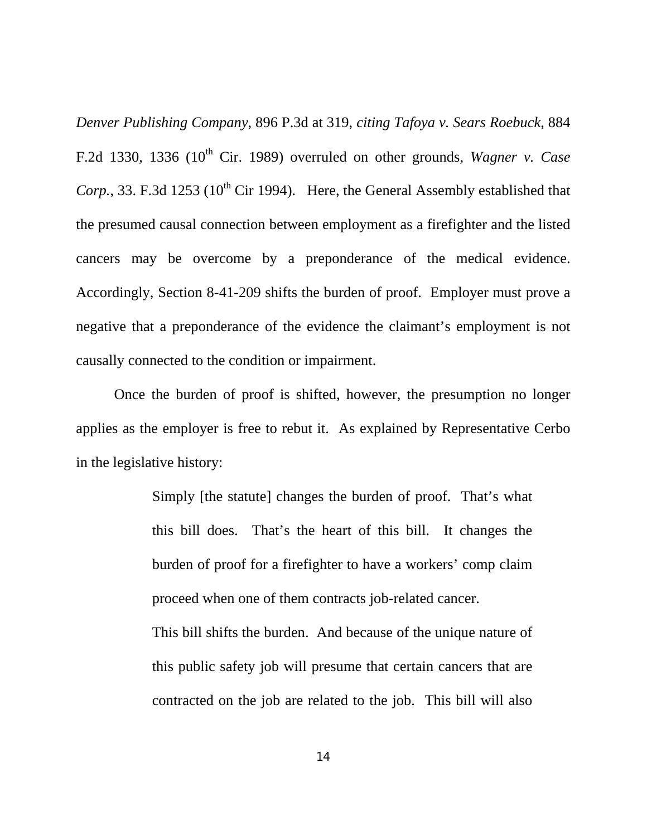*Denver Publishing Company,* 896 P.3d at 319, *citing Tafoya v. Sears Roebuck*, 884 F.2d 1330, 1336  $(10^{th}$  Cir. 1989) overruled on other grounds, *Wagner v. Case Corp.*, 33. F.3d 1253 (10<sup>th</sup> Cir 1994). Here, the General Assembly established that the presumed causal connection between employment as a firefighter and the listed cancers may be overcome by a preponderance of the medical evidence. Accordingly, Section 8-41-209 shifts the burden of proof. Employer must prove a negative that a preponderance of the evidence the claimant's employment is not causally connected to the condition or impairment.

Once the burden of proof is shifted, however, the presumption no longer applies as the employer is free to rebut it. As explained by Representative Cerbo in the legislative history:

> Simply [the statute] changes the burden of proof. That's what this bill does. That's the heart of this bill. It changes the burden of proof for a firefighter to have a workers' comp claim proceed when one of them contracts job-related cancer.

> This bill shifts the burden. And because of the unique nature of this public safety job will presume that certain cancers that are contracted on the job are related to the job. This bill will also

> > 14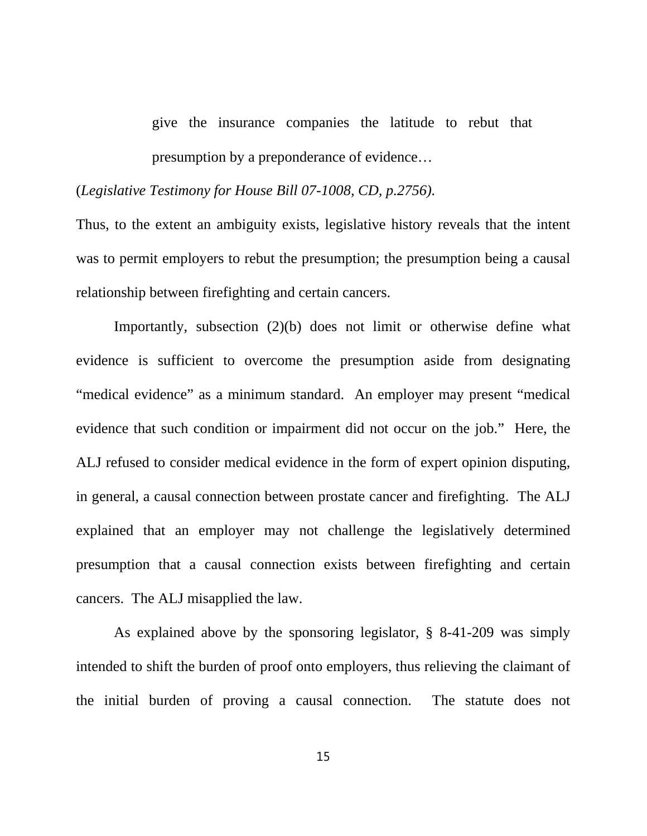give the insurance companies the latitude to rebut that presumption by a preponderance of evidence…

(*Legislative Testimony for House Bill 07-1008, CD, p.2756).*

Thus, to the extent an ambiguity exists, legislative history reveals that the intent was to permit employers to rebut the presumption; the presumption being a causal relationship between firefighting and certain cancers.

Importantly, subsection (2)(b) does not limit or otherwise define what evidence is sufficient to overcome the presumption aside from designating "medical evidence" as a minimum standard. An employer may present "medical evidence that such condition or impairment did not occur on the job." Here, the ALJ refused to consider medical evidence in the form of expert opinion disputing, in general, a causal connection between prostate cancer and firefighting. The ALJ explained that an employer may not challenge the legislatively determined presumption that a causal connection exists between firefighting and certain cancers. The ALJ misapplied the law.

As explained above by the sponsoring legislator, § 8-41-209 was simply intended to shift the burden of proof onto employers, thus relieving the claimant of the initial burden of proving a causal connection. The statute does not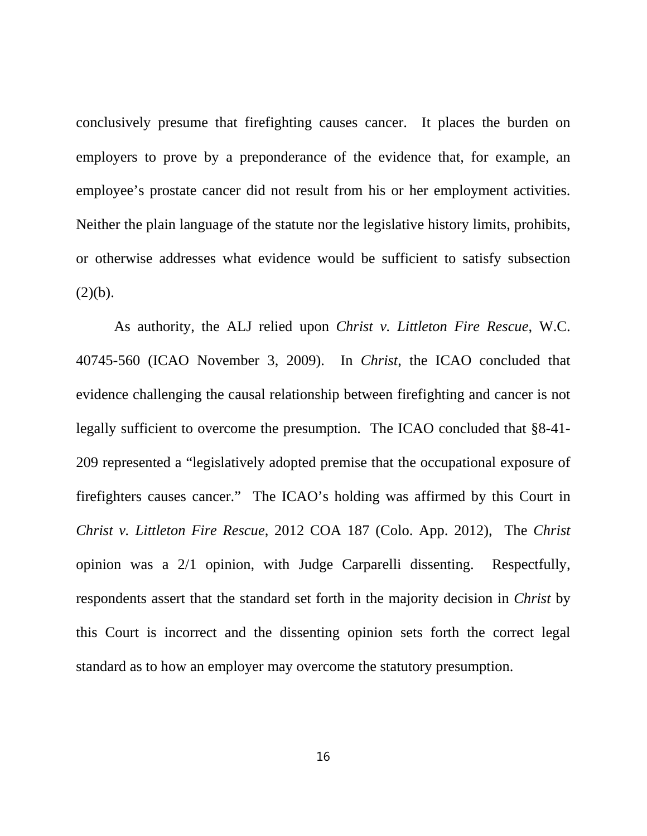conclusively presume that firefighting causes cancer. It places the burden on employers to prove by a preponderance of the evidence that, for example, an employee's prostate cancer did not result from his or her employment activities. Neither the plain language of the statute nor the legislative history limits, prohibits, or otherwise addresses what evidence would be sufficient to satisfy subsection  $(2)(b).$ 

As authority, the ALJ relied upon *Christ v. Littleton Fire Rescue*, W.C. 40745-560 (ICAO November 3, 2009). In *Christ*, the ICAO concluded that evidence challenging the causal relationship between firefighting and cancer is not legally sufficient to overcome the presumption. The ICAO concluded that §8-41- 209 represented a "legislatively adopted premise that the occupational exposure of firefighters causes cancer." The ICAO's holding was affirmed by this Court in *Christ v. Littleton Fire Rescue*, 2012 COA 187 (Colo. App. 2012), The *Christ* opinion was a 2/1 opinion, with Judge Carparelli dissenting. Respectfully, respondents assert that the standard set forth in the majority decision in *Christ* by this Court is incorrect and the dissenting opinion sets forth the correct legal standard as to how an employer may overcome the statutory presumption.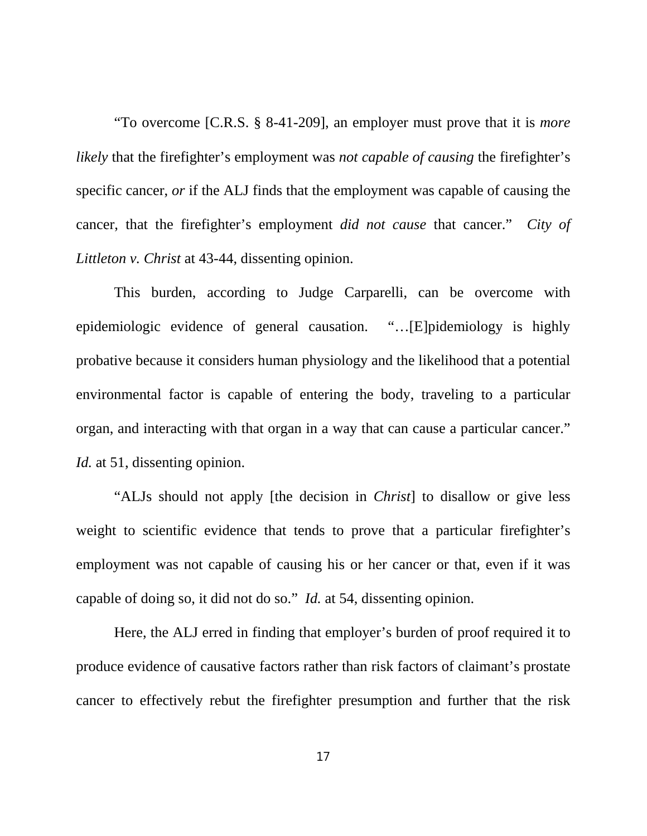"To overcome [C.R.S. § 8-41-209], an employer must prove that it is *more likely* that the firefighter's employment was *not capable of causing* the firefighter's specific cancer, *or* if the ALJ finds that the employment was capable of causing the cancer, that the firefighter's employment *did not cause* that cancer." *City of Littleton v. Christ* at 43-44, dissenting opinion.

This burden, according to Judge Carparelli, can be overcome with epidemiologic evidence of general causation. "…[E]pidemiology is highly probative because it considers human physiology and the likelihood that a potential environmental factor is capable of entering the body, traveling to a particular organ, and interacting with that organ in a way that can cause a particular cancer." *Id.* at 51, dissenting opinion.

"ALJs should not apply [the decision in *Christ*] to disallow or give less weight to scientific evidence that tends to prove that a particular firefighter's employment was not capable of causing his or her cancer or that, even if it was capable of doing so, it did not do so." *Id.* at 54, dissenting opinion.

Here, the ALJ erred in finding that employer's burden of proof required it to produce evidence of causative factors rather than risk factors of claimant's prostate cancer to effectively rebut the firefighter presumption and further that the risk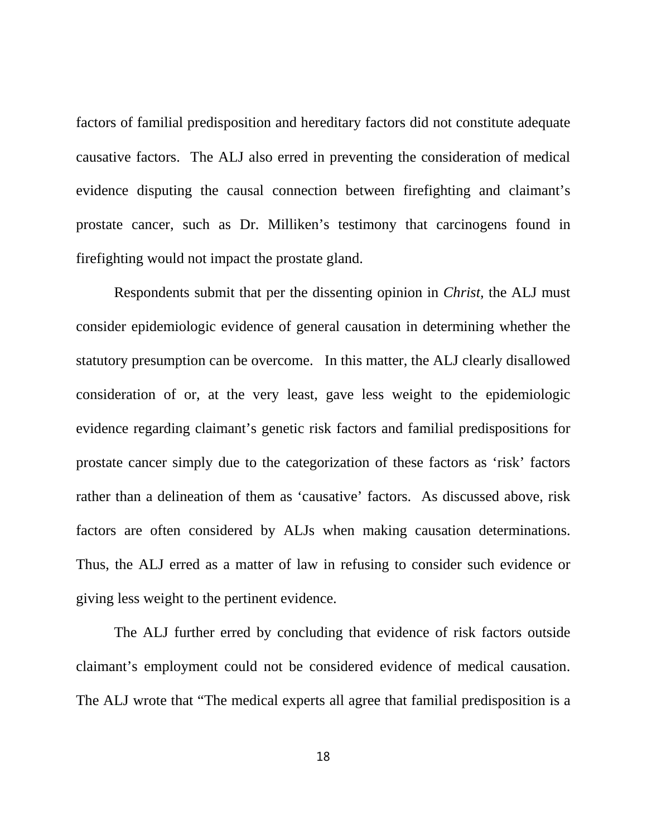factors of familial predisposition and hereditary factors did not constitute adequate causative factors. The ALJ also erred in preventing the consideration of medical evidence disputing the causal connection between firefighting and claimant's prostate cancer, such as Dr. Milliken's testimony that carcinogens found in firefighting would not impact the prostate gland.

Respondents submit that per the dissenting opinion in *Christ,* the ALJ must consider epidemiologic evidence of general causation in determining whether the statutory presumption can be overcome. In this matter, the ALJ clearly disallowed consideration of or, at the very least, gave less weight to the epidemiologic evidence regarding claimant's genetic risk factors and familial predispositions for prostate cancer simply due to the categorization of these factors as 'risk' factors rather than a delineation of them as 'causative' factors. As discussed above, risk factors are often considered by ALJs when making causation determinations. Thus, the ALJ erred as a matter of law in refusing to consider such evidence or giving less weight to the pertinent evidence.

The ALJ further erred by concluding that evidence of risk factors outside claimant's employment could not be considered evidence of medical causation. The ALJ wrote that "The medical experts all agree that familial predisposition is a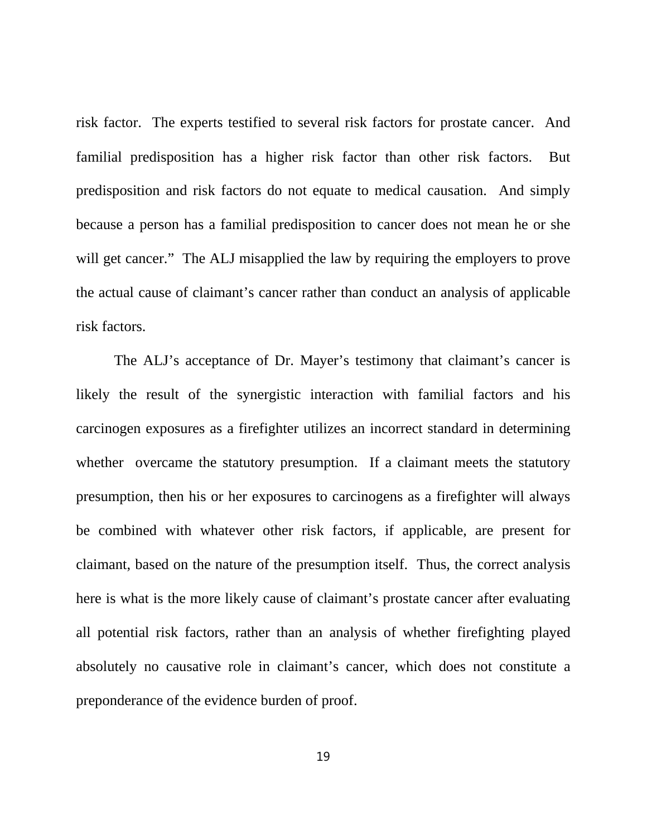risk factor. The experts testified to several risk factors for prostate cancer. And familial predisposition has a higher risk factor than other risk factors. But predisposition and risk factors do not equate to medical causation. And simply because a person has a familial predisposition to cancer does not mean he or she will get cancer." The ALJ misapplied the law by requiring the employers to prove the actual cause of claimant's cancer rather than conduct an analysis of applicable risk factors.

The ALJ's acceptance of Dr. Mayer's testimony that claimant's cancer is likely the result of the synergistic interaction with familial factors and his carcinogen exposures as a firefighter utilizes an incorrect standard in determining whether overcame the statutory presumption. If a claimant meets the statutory presumption, then his or her exposures to carcinogens as a firefighter will always be combined with whatever other risk factors, if applicable, are present for claimant, based on the nature of the presumption itself. Thus, the correct analysis here is what is the more likely cause of claimant's prostate cancer after evaluating all potential risk factors, rather than an analysis of whether firefighting played absolutely no causative role in claimant's cancer, which does not constitute a preponderance of the evidence burden of proof.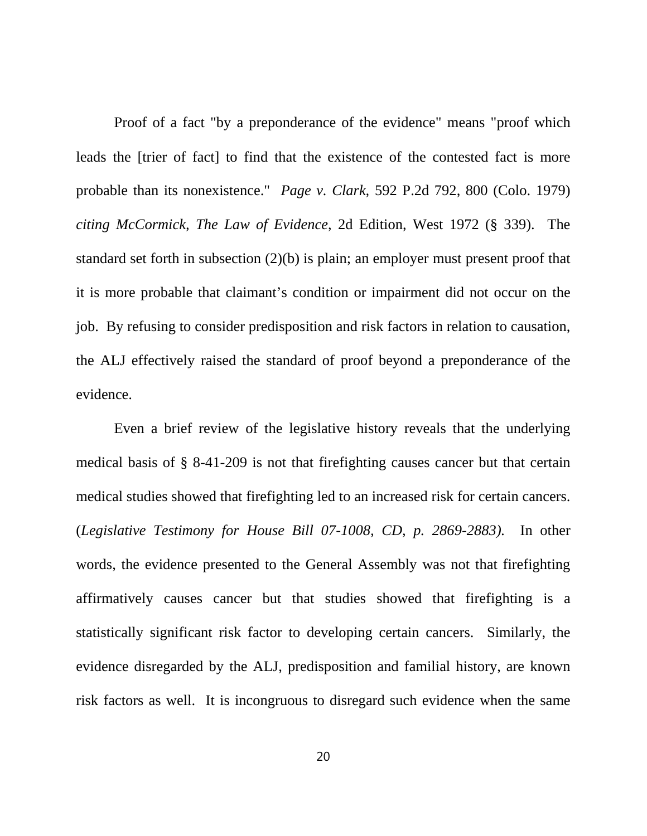Proof of a fact "by a preponderance of the evidence" means "proof which leads the [trier of fact] to find that the existence of the contested fact is more probable than its nonexistence." *Page v. Clark,* 592 P.2d 792, 800 (Colo. 1979) *citing McCormick, The Law of Evidence*, 2d Edition, West 1972 (§ 339). The standard set forth in subsection (2)(b) is plain; an employer must present proof that it is more probable that claimant's condition or impairment did not occur on the job. By refusing to consider predisposition and risk factors in relation to causation, the ALJ effectively raised the standard of proof beyond a preponderance of the evidence.

Even a brief review of the legislative history reveals that the underlying medical basis of § 8-41-209 is not that firefighting causes cancer but that certain medical studies showed that firefighting led to an increased risk for certain cancers. (*Legislative Testimony for House Bill 07-1008, CD, p. 2869-2883).* In other words, the evidence presented to the General Assembly was not that firefighting affirmatively causes cancer but that studies showed that firefighting is a statistically significant risk factor to developing certain cancers. Similarly, the evidence disregarded by the ALJ, predisposition and familial history, are known risk factors as well. It is incongruous to disregard such evidence when the same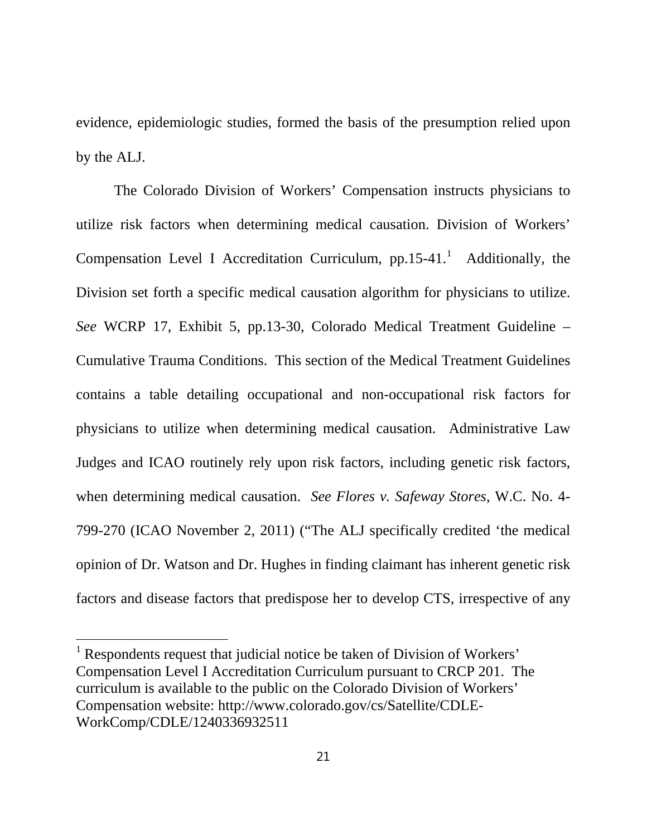evidence, epidemiologic studies, formed the basis of the presumption relied upon by the ALJ.

The Colorado Division of Workers' Compensation instructs physicians to utilize risk factors when determining medical causation. Division of Workers' Compensation Level I Accreditation Curriculum,  $pp.15-41$  $pp.15-41$  $pp.15-41$ . Additionally, the Division set forth a specific medical causation algorithm for physicians to utilize. *See* WCRP 17, Exhibit 5, pp.13-30, Colorado Medical Treatment Guideline – Cumulative Trauma Conditions. This section of the Medical Treatment Guidelines contains a table detailing occupational and non-occupational risk factors for physicians to utilize when determining medical causation. Administrative Law Judges and ICAO routinely rely upon risk factors, including genetic risk factors, when determining medical causation. *See Flores v. Safeway Stores*, W.C. No. 4- 799-270 (ICAO November 2, 2011) ("The ALJ specifically credited 'the medical opinion of Dr. Watson and Dr. Hughes in finding claimant has inherent genetic risk factors and disease factors that predispose her to develop CTS, irrespective of any

 $\overline{a}$ 

<span id="page-25-0"></span> $<sup>1</sup>$  Respondents request that judicial notice be taken of Division of Workers'</sup> Compensation Level I Accreditation Curriculum pursuant to CRCP 201. The curriculum is available to the public on the Colorado Division of Workers' Compensation website: http://www.colorado.gov/cs/Satellite/CDLE-WorkComp/CDLE/1240336932511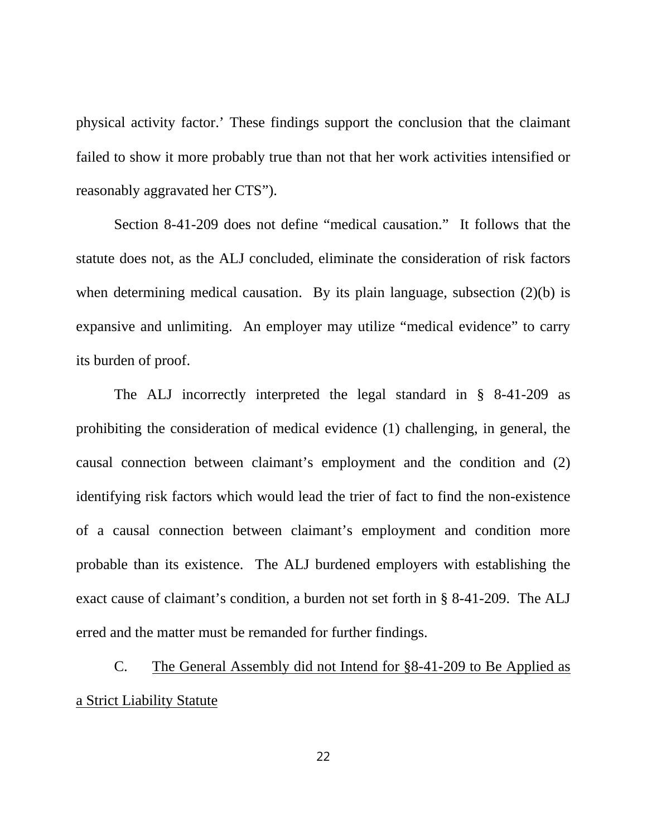physical activity factor.' These findings support the conclusion that the claimant failed to show it more probably true than not that her work activities intensified or reasonably aggravated her CTS").

Section 8-41-209 does not define "medical causation." It follows that the statute does not, as the ALJ concluded, eliminate the consideration of risk factors when determining medical causation. By its plain language, subsection (2)(b) is expansive and unlimiting. An employer may utilize "medical evidence" to carry its burden of proof.

The ALJ incorrectly interpreted the legal standard in § 8-41-209 as prohibiting the consideration of medical evidence (1) challenging, in general, the causal connection between claimant's employment and the condition and (2) identifying risk factors which would lead the trier of fact to find the non-existence of a causal connection between claimant's employment and condition more probable than its existence. The ALJ burdened employers with establishing the exact cause of claimant's condition, a burden not set forth in § 8-41-209. The ALJ erred and the matter must be remanded for further findings.

C. The General Assembly did not Intend for §8-41-209 to Be Applied as a Strict Liability Statute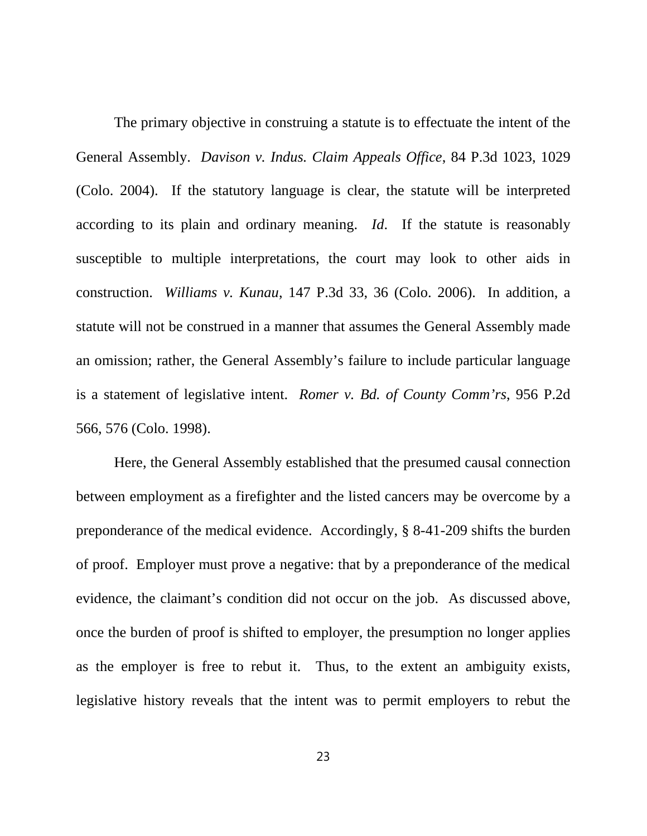The primary objective in construing a statute is to effectuate the intent of the General Assembly. *Davison v. Indus. Claim Appeals Office*, 84 P.3d 1023, 1029 (Colo. 2004). If the statutory language is clear, the statute will be interpreted according to its plain and ordinary meaning. *Id*. If the statute is reasonably susceptible to multiple interpretations, the court may look to other aids in construction. *Williams v. Kunau*, 147 P.3d 33, 36 (Colo. 2006). In addition, a statute will not be construed in a manner that assumes the General Assembly made an omission; rather, the General Assembly's failure to include particular language is a statement of legislative intent. *Romer v. Bd. of County Comm'rs*, 956 P.2d 566, 576 (Colo. 1998).

Here, the General Assembly established that the presumed causal connection between employment as a firefighter and the listed cancers may be overcome by a preponderance of the medical evidence. Accordingly, § 8-41-209 shifts the burden of proof. Employer must prove a negative: that by a preponderance of the medical evidence, the claimant's condition did not occur on the job. As discussed above, once the burden of proof is shifted to employer, the presumption no longer applies as the employer is free to rebut it.Thus, to the extent an ambiguity exists, legislative history reveals that the intent was to permit employers to rebut the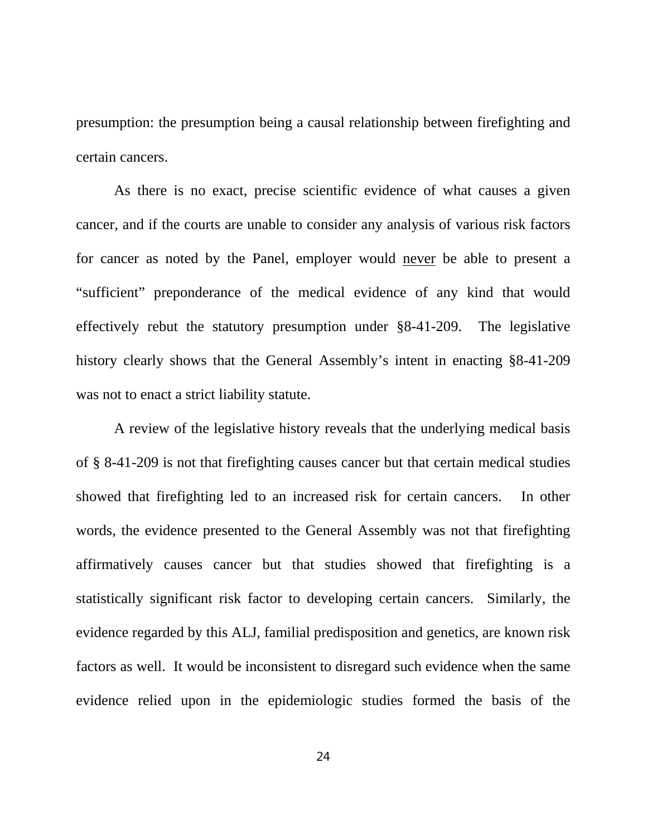presumption: the presumption being a causal relationship between firefighting and certain cancers.

As there is no exact, precise scientific evidence of what causes a given cancer, and if the courts are unable to consider any analysis of various risk factors for cancer as noted by the Panel, employer would never be able to present a "sufficient" preponderance of the medical evidence of any kind that would effectively rebut the statutory presumption under §8-41-209. The legislative history clearly shows that the General Assembly's intent in enacting §8-41-209 was not to enact a strict liability statute.

A review of the legislative history reveals that the underlying medical basis of § 8-41-209 is not that firefighting causes cancer but that certain medical studies showed that firefighting led to an increased risk for certain cancers. In other words, the evidence presented to the General Assembly was not that firefighting affirmatively causes cancer but that studies showed that firefighting is a statistically significant risk factor to developing certain cancers. Similarly, the evidence regarded by this ALJ, familial predisposition and genetics, are known risk factors as well. It would be inconsistent to disregard such evidence when the same evidence relied upon in the epidemiologic studies formed the basis of the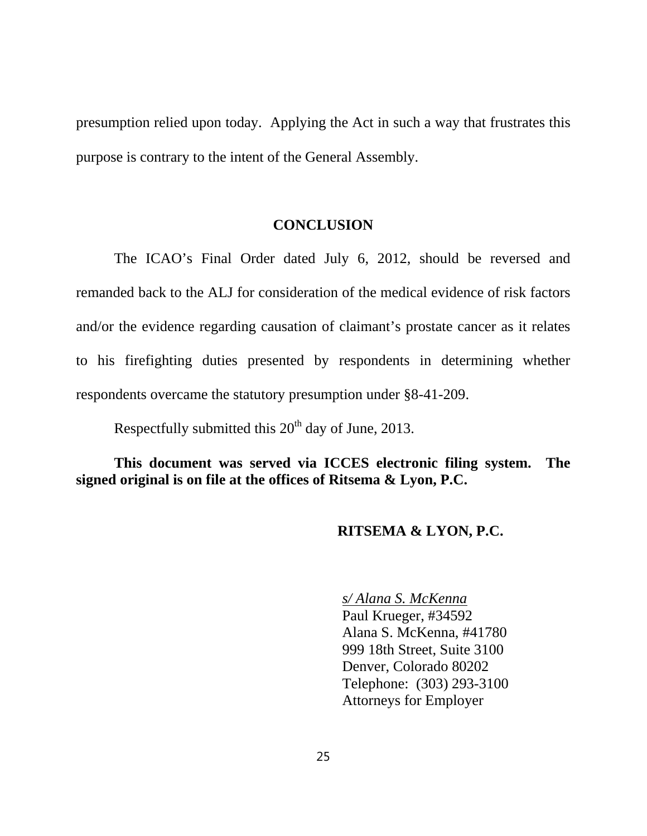presumption relied upon today. Applying the Act in such a way that frustrates this purpose is contrary to the intent of the General Assembly.

#### **CONCLUSION**

The ICAO's Final Order dated July 6, 2012, should be reversed and remanded back to the ALJ for consideration of the medical evidence of risk factors and/or the evidence regarding causation of claimant's prostate cancer as it relates to his firefighting duties presented by respondents in determining whether respondents overcame the statutory presumption under §8-41-209.

Respectfully submitted this  $20<sup>th</sup>$  day of June, 2013.

**This document was served via ICCES electronic filing system. The signed original is on file at the offices of Ritsema & Lyon, P.C.**

## **RITSEMA & LYON, P.C.**

*s/ Alana S. McKenna* Paul Krueger, #34592 Alana S. McKenna, #41780 999 18th Street, Suite 3100 Denver, Colorado 80202 Telephone: (303) 293-3100 Attorneys for Employer